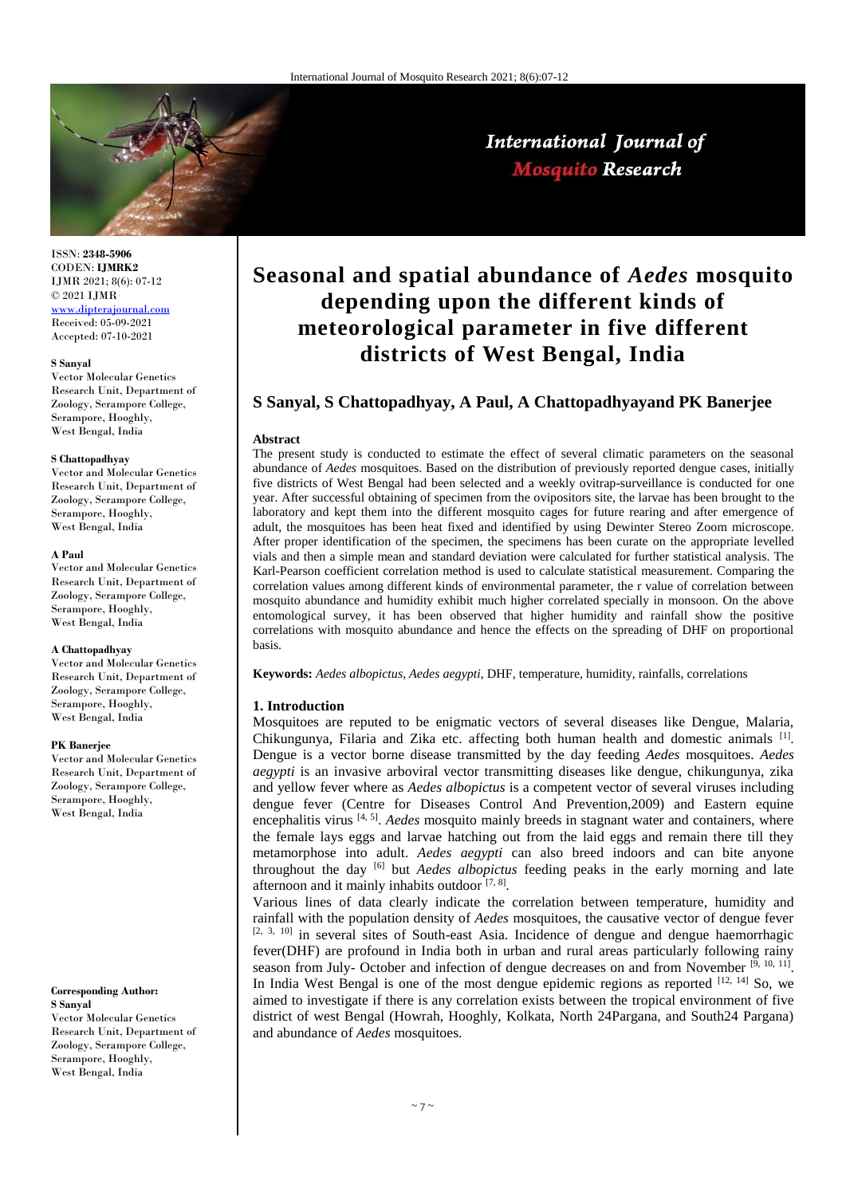

International Journal of **Mosquito Research** 

#### ISSN: **2348-5906** CODEN: **IJMRK2** IJMR 2021; 8(6): 07-12 © 2021 IJMR [www.dipterajournal.com](http://www.dipterajournal.com/)

Received: 05-09-2021 Accepted: 07-10-2021

#### **S Sanyal**

Vector Molecular Genetics Research Unit, Department of Zoology, Serampore College, Serampore, Hooghly, West Bengal, India

#### **S Chattopadhyay**

Vector and Molecular Genetics Research Unit, Department of Zoology, Serampore College, Serampore, Hooghly, West Bengal, India

#### **A Paul**

Vector and Molecular Genetics Research Unit, Department of Zoology, Serampore College, Serampore, Hooghly, West Bengal, India

#### **A Chattopadhyay**

Vector and Molecular Genetics Research Unit, Department of Zoology, Serampore College, Serampore, Hooghly, West Bengal, India

#### **PK Banerjee**

Vector and Molecular Genetics Research Unit, Department of Zoology, Serampore College, Serampore, Hooghly, West Bengal, India

#### **Corresponding Author:**

**S Sanyal** Vector Molecular Genetics Research Unit, Department of Zoology, Serampore College, Serampore, Hooghly, West Bengal, India

# **Seasonal and spatial abundance of** *Aedes* **mosquito depending upon the different kinds of meteorological parameter in five different districts of West Bengal, India**

# **S Sanyal, S Chattopadhyay, A Paul, A Chattopadhyayand PK Banerjee**

#### **Abstract**

The present study is conducted to estimate the effect of several climatic parameters on the seasonal abundance of *Aedes* mosquitoes. Based on the distribution of previously reported dengue cases, initially five districts of West Bengal had been selected and a weekly ovitrap-surveillance is conducted for one year. After successful obtaining of specimen from the ovipositors site, the larvae has been brought to the laboratory and kept them into the different mosquito cages for future rearing and after emergence of adult, the mosquitoes has been heat fixed and identified by using Dewinter Stereo Zoom microscope. After proper identification of the specimen, the specimens has been curate on the appropriate levelled vials and then a simple mean and standard deviation were calculated for further statistical analysis. The Karl-Pearson coefficient correlation method is used to calculate statistical measurement. Comparing the correlation values among different kinds of environmental parameter, the r value of correlation between mosquito abundance and humidity exhibit much higher correlated specially in monsoon. On the above entomological survey, it has been observed that higher humidity and rainfall show the positive correlations with mosquito abundance and hence the effects on the spreading of DHF on proportional basis.

**Keywords:** *Aedes albopictus*, *Aedes aegypti*, DHF, temperature, humidity, rainfalls, correlations

## **1. Introduction**

Mosquitoes are reputed to be enigmatic vectors of several diseases like Dengue, Malaria, Chikungunya, Filaria and Zika etc. affecting both human health and domestic animals [1]. Dengue is a vector borne disease transmitted by the day feeding *Aedes* mosquitoes. *Aedes aegypti* is an invasive arboviral vector transmitting diseases like dengue, chikungunya, zika and yellow fever where as *Aedes albopictus* is a competent vector of several viruses including dengue fever (Centre for Diseases Control And Prevention,2009) and Eastern equine encephalitis virus <sup>[4, 5]</sup>. *Aedes* mosquito mainly breeds in stagnant water and containers, where the female lays eggs and larvae hatching out from the laid eggs and remain there till they metamorphose into adult. *Aedes aegypti* can also breed indoors and can bite anyone throughout the day [6] but *Aedes albopictus* feeding peaks in the early morning and late afternoon and it mainly inhabits outdoor [7, 8].

Various lines of data clearly indicate the correlation between temperature, humidity and rainfall with the population density of *Aedes* mosquitoes, the causative vector of dengue fever [2, 3, 10] in several sites of South-east Asia. Incidence of dengue and dengue haemorrhagic fever(DHF) are profound in India both in urban and rural areas particularly following rainy season from July- October and infection of dengue decreases on and from November  $[9, 10, 11]$ . In India West Bengal is one of the most dengue epidemic regions as reported [12, 14] So, we aimed to investigate if there is any correlation exists between the tropical environment of five district of west Bengal (Howrah, Hooghly, Kolkata, North 24Pargana, and South24 Pargana) and abundance of *Aedes* mosquitoes.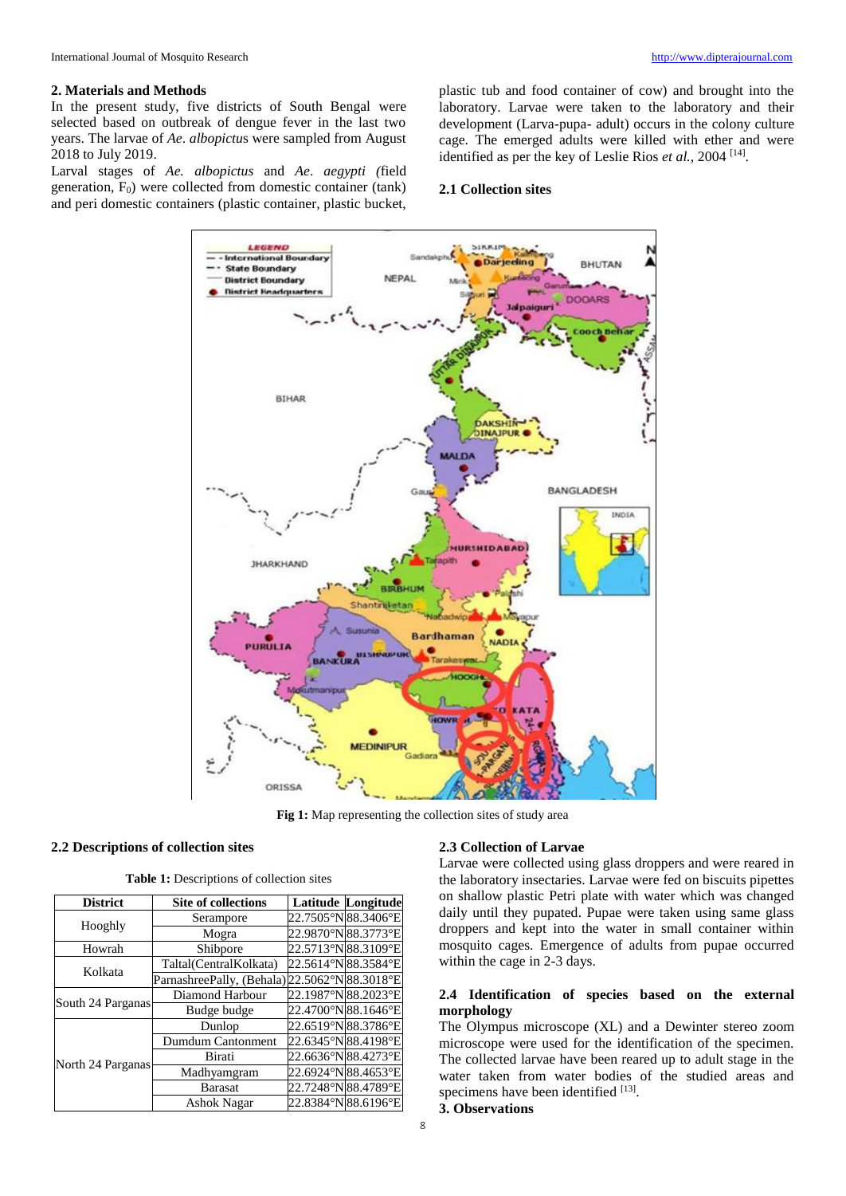## **2. Materials and Methods**

In the present study, five districts of South Bengal were selected based on outbreak of dengue fever in the last two years. The larvae of *Ae*. *albopictu*s were sampled from August 2018 to July 2019.

Larval stages of *Ae. albopictus* and *Ae*. *aegypti (*field generation,  $F_0$ ) were collected from domestic container (tank) and peri domestic containers (plastic container, plastic bucket, plastic tub and food container of cow) and brought into the laboratory. Larvae were taken to the laboratory and their development (Larva-pupa- adult) occurs in the colony culture cage. The emerged adults were killed with ether and were identified as per the key of Leslie Rios *et al.*, 2004<sup>[14]</sup>.

## **2.1 Collection sites**



**Fig 1:** Map representing the collection sites of study area

# **2.2 Descriptions of collection sites**

| <b>Table 1:</b> Descriptions of collection sites |  |  |  |  |  |  |
|--------------------------------------------------|--|--|--|--|--|--|
|--------------------------------------------------|--|--|--|--|--|--|

| <b>District</b>   | <b>Site of collections</b>                    | <b>Latitude Longitude</b> |
|-------------------|-----------------------------------------------|---------------------------|
|                   | Serampore                                     | 22.7505°N 88.3406°E       |
| Hooghly           | Mogra                                         | 22.9870°N 88.3773°E       |
| Howrah            | Shibpore                                      | 22.5713°N 88.3109°E       |
| Kolkata           | Taltal(CentralKolkata)                        | 22.5614°N 88.3584°E       |
|                   | ParnashreePally, (Behala) 22.5062°N 88.3018°E |                           |
|                   | Diamond Harbour                               | 22.1987°N 88.2023°E       |
| South 24 Parganas | Budge budge                                   | 22.4700°N 88.1646°E       |
|                   | Dunlop                                        | 22.6519°N 88.3786°E       |
|                   | Dumdum Cantonment                             | 22.6345°N 88.4198°E       |
| North 24 Parganas | Birati                                        | 22.6636°N 88.4273°E       |
|                   | Madhyamgram                                   | 22.6924°N 88.4653°E       |
|                   | <b>Barasat</b>                                | 22.7248°N 88.4789°E       |
|                   | <b>Ashok Nagar</b>                            | 22.8384°N 88.6196°E       |

## **2.3 Collection of Larvae**

Larvae were collected using glass droppers and were reared in the laboratory insectaries. Larvae were fed on biscuits pipettes on shallow plastic Petri plate with water which was changed daily until they pupated. Pupae were taken using same glass droppers and kept into the water in small container within mosquito cages. Emergence of adults from pupae occurred within the cage in 2-3 days.

# **2.4 Identification of species based on the external morphology**

The Olympus microscope (XL) and a Dewinter stereo zoom microscope were used for the identification of the specimen. The collected larvae have been reared up to adult stage in the water taken from water bodies of the studied areas and specimens have been identified [13].

## **3. Observations**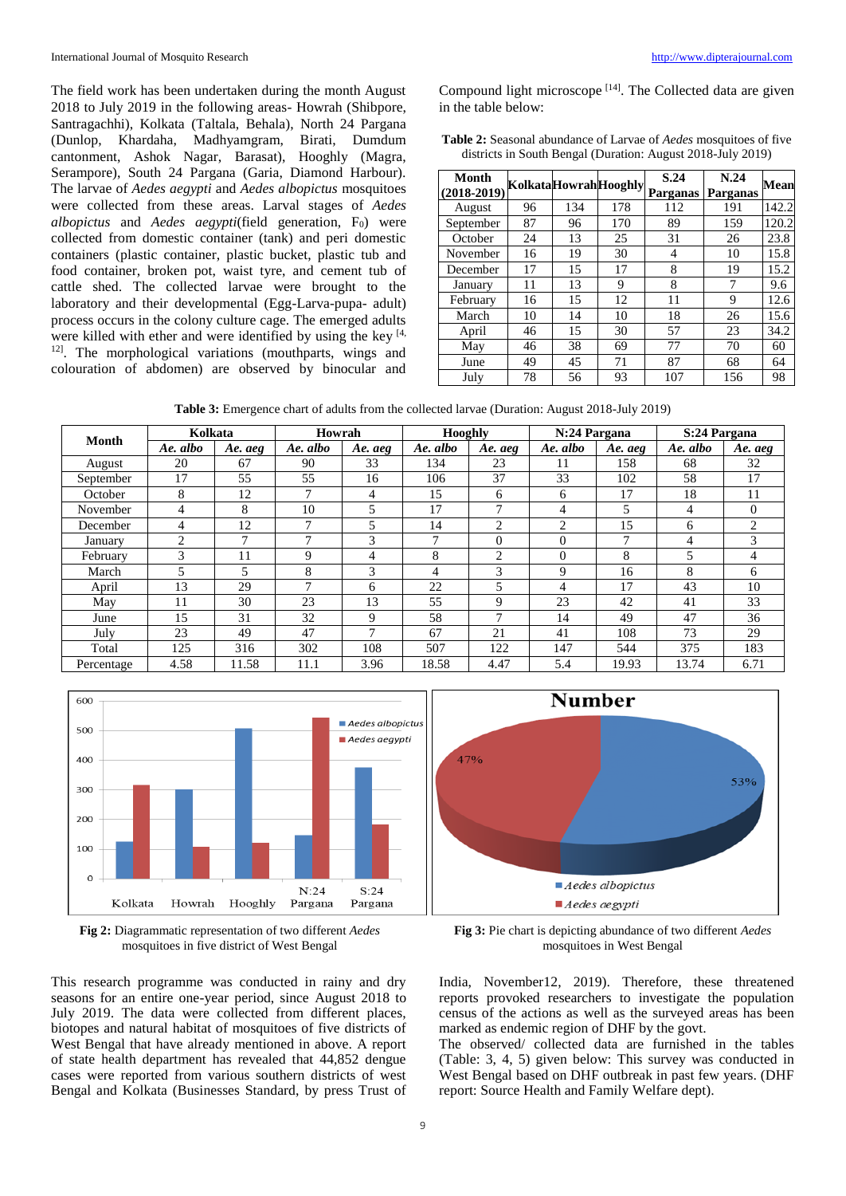The field work has been undertaken during the month August 2018 to July 2019 in the following areas- Howrah (Shibpore, Santragachhi), Kolkata (Taltala, Behala), North 24 Pargana (Dunlop, Khardaha, Madhyamgram, Birati, Dumdum cantonment, Ashok Nagar, Barasat), Hooghly (Magra, Serampore), South 24 Pargana (Garia, Diamond Harbour). The larvae of *Aedes aegypti* and *Aedes albopictus* mosquitoes were collected from these areas. Larval stages of *Aedes albopictus* and *Aedes aegypti*(field generation, F<sub>0</sub>) were collected from domestic container (tank) and peri domestic containers (plastic container, plastic bucket, plastic tub and food container, broken pot, waist tyre, and cement tub of cattle shed. The collected larvae were brought to the laboratory and their developmental (Egg-Larva-pupa- adult) process occurs in the colony culture cage. The emerged adults were killed with ether and were identified by using the key  $[4, 6]$ <sup>12]</sup>. The morphological variations (mouthparts, wings and colouration of abdomen) are observed by binocular and

Compound light microscope  $[14]$ . The Collected data are given in the table below:

| <b>Table 2:</b> Seasonal abundance of Larvae of <i>Aedes</i> mosquitoes of five |  |
|---------------------------------------------------------------------------------|--|
| districts in South Bengal (Duration: August 2018-July 2019)                     |  |

| Month<br>$(2018-2019)$ |    |     | KolkataHowrahHooghly | S.24<br>Parganas | N.24<br>Parganas | Mean  |
|------------------------|----|-----|----------------------|------------------|------------------|-------|
| August                 | 96 | 134 | 178                  | 112              | 191              | 142.2 |
| September              | 87 | 96  | 170                  | 89               | 159              | 120.2 |
| October                | 24 | 13  | 25                   | 31               | 26               | 23.8  |
| November               | 16 | 19  | 30                   | 4                | 10               | 15.8  |
| December               | 17 | 15  | 17                   | 8                | 19               | 15.2  |
| January                | 11 | 13  | 9                    | 8                | 7                | 9.6   |
| February               | 16 | 15  | 12                   | 11               | 9                | 12.6  |
| March                  | 10 | 14  | 10                   | 18               | 26               | 15.6  |
| April                  | 46 | 15  | 30                   | 57               | 23               | 34.2  |
| May                    | 46 | 38  | 69                   | 77               | 70               | 60    |
| June                   | 49 | 45  | 71                   | 87               | 68               | 64    |
| July                   | 78 | 56  | 93                   | 107              | 156              | 98    |

**Table 3:** Emergence chart of adults from the collected larvae (Duration: August 2018-July 2019)

| Month      | Kolkata        |         | Howrah   |                | Hooghly      |                | N:24 Pargana |         | S:24 Pargana |                |
|------------|----------------|---------|----------|----------------|--------------|----------------|--------------|---------|--------------|----------------|
|            | Ae. albo       | Ae. aeg | Ae. albo | Ae. aeg        | Ae. albo     | Ae. aeg        | Ae. albo     | Ae. aeg | Ae. albo     | Ae. aeg        |
| August     | 20             | 67      | 90       | 33             | 134          | 23             | 11           | 158     | 68           | 32             |
| September  | 17             | 55      | 55       | 16             | 106          | 37             | 33           | 102     | 58           | 17             |
| October    | 8              | 12      | ┑        | 4              | 15           | 6              | 6            | 17      | 18           | 11             |
| November   | 4              | 8       | 10       | $\overline{5}$ | 17           | $\mathbf{r}$   | 4            | 5       | 4            | $\theta$       |
| December   | $\overline{4}$ | 12      | ┑        | 5              | 14           | $\overline{c}$ | 2            | 15      | 6            | $\overline{2}$ |
| January    | $\overline{2}$ | 7       | 7        | 3              | $\mathbf{r}$ | $\Omega$       | $\theta$     | ⇁       |              | 3              |
| February   | 3              | 11      | 9        | 4              | 8            | $\overline{c}$ | $\Omega$     | 8       |              | 4              |
| March      | 5              | 5       | 8        | 3              | 4            | 3              | 9            | 16      | 8            | 6              |
| April      | 13             | 29      | ┑        | 6              | 22           | 5              | 4            | 17      | 43           | 10             |
| May        | 11             | 30      | 23       | 13             | 55           | 9              | 23           | 42      | 41           | 33             |
| June       | 15             | 31      | 32       | 9              | 58           | $\mathbf{r}$   | 14           | 49      | 47           | 36             |
| July       | 23             | 49      | 47       | $\mathbf{7}$   | 67           | 21             | 41           | 108     | 73           | 29             |
| Total      | 125            | 316     | 302      | 108            | 507          | 122            | 147          | 544     | 375          | 183            |
| Percentage | 4.58           | 11.58   | 11.1     | 3.96           | 18.58        | 4.47           | 5.4          | 19.93   | 13.74        | 6.71           |



**Fig 2:** Diagrammatic representation of two different *Aedes* mosquitoes in five district of West Bengal

This research programme was conducted in rainy and dry seasons for an entire one-year period, since August 2018 to July 2019. The data were collected from different places, biotopes and natural habitat of mosquitoes of five districts of West Bengal that have already mentioned in above. A report of state health department has revealed that 44,852 dengue cases were reported from various southern districts of west Bengal and Kolkata (Businesses Standard, by press Trust of



**Fig 3:** Pie chart is depicting abundance of two different *Aedes* mosquitoes in West Bengal

India, November12, 2019). Therefore, these threatened reports provoked researchers to investigate the population census of the actions as well as the surveyed areas has been marked as endemic region of DHF by the govt.

The observed/ collected data are furnished in the tables (Table: 3, 4, 5) given below: This survey was conducted in West Bengal based on DHF outbreak in past few years. (DHF report: Source Health and Family Welfare dept).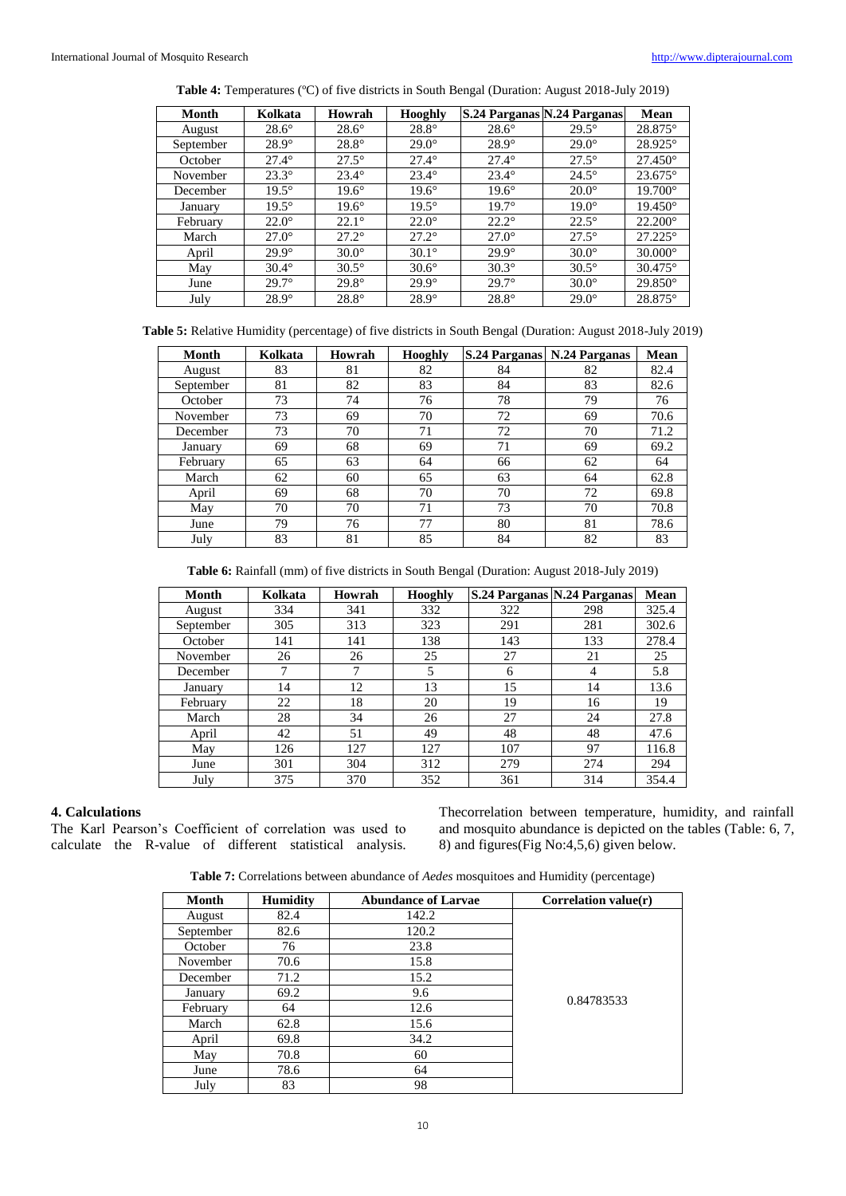| Table 4: Temperatures (°C) of five districts in South Bengal (Duration: August 2018-July 2019) |  |  |  |  |  |
|------------------------------------------------------------------------------------------------|--|--|--|--|--|
|------------------------------------------------------------------------------------------------|--|--|--|--|--|

| Month     | Kolkata      | Howrah         | <b>Hooghly</b> |              | S.24 Parganas N.24 Parganas | Mean             |
|-----------|--------------|----------------|----------------|--------------|-----------------------------|------------------|
| August    | $28.6^\circ$ | $28.6^\circ$   | $28.8^\circ$   | $28.6^\circ$ | $29.5^\circ$                | 28.875°          |
| September | $28.9^\circ$ | $28.8^\circ$   | $29.0^\circ$   | $28.9^\circ$ | $29.0^\circ$                | 28.925°          |
| October   | $27.4^\circ$ | $27.5^\circ$   | $27.4^\circ$   | $27.4^\circ$ | $27.5^\circ$                | $27.450^{\circ}$ |
| November  | $23.3^\circ$ | $23.4^\circ$   | $23.4^\circ$   | $23.4^\circ$ | $24.5^\circ$                | $23.675^{\circ}$ |
| December  | $19.5^\circ$ | $19.6^\circ$   | $19.6^\circ$   | $19.6^\circ$ | $20.0^\circ$                | $19.700^{\circ}$ |
| January   | $19.5^\circ$ | $19.6^\circ$   | $19.5^\circ$   | $19.7^\circ$ | $19.0^\circ$                | $19.450^{\circ}$ |
| February  | $22.0^\circ$ | $22.1^{\circ}$ | $22.0^\circ$   | $22.2^\circ$ | $22.5^\circ$                | $22.200^{\circ}$ |
| March     | $27.0^\circ$ | $27.2^{\circ}$ | $27.2^{\circ}$ | $27.0^\circ$ | $27.5^\circ$                | $27.225^{\circ}$ |
| April     | $29.9^\circ$ | $30.0^\circ$   | $30.1^\circ$   | $29.9^\circ$ | $30.0^\circ$                | $30.000^\circ$   |
| May       | $30.4^\circ$ | $30.5^\circ$   | $30.6^\circ$   | $30.3^\circ$ | $30.5^\circ$                | $30.475^{\circ}$ |
| June      | $29.7^\circ$ | $29.8^\circ$   | $29.9^\circ$   | $29.7^\circ$ | $30.0^\circ$                | $29.850^{\circ}$ |
| July      | $28.9^\circ$ | $28.8^\circ$   | $28.9^\circ$   | $28.8^\circ$ | $29.0^\circ$                | 28.875°          |

| Table 5: Relative Humidity (percentage) of five districts in South Bengal (Duration: August 2018-July 2019) |  |  |
|-------------------------------------------------------------------------------------------------------------|--|--|
|-------------------------------------------------------------------------------------------------------------|--|--|

| <b>Month</b> | Kolkata | Howrah | Hooghly |    | S.24 Parganas   N.24 Parganas | Mean |
|--------------|---------|--------|---------|----|-------------------------------|------|
| August       | 83      | 81     | 82      | 84 | 82                            | 82.4 |
| September    | 81      | 82     | 83      | 84 | 83                            | 82.6 |
| October      | 73      | 74     | 76      | 78 | 79                            | 76   |
| November     | 73      | 69     | 70      | 72 | 69                            | 70.6 |
| December     | 73      | 70     | 71      | 72 | 70                            | 71.2 |
| January      | 69      | 68     | 69      | 71 | 69                            | 69.2 |
| February     | 65      | 63     | 64      | 66 | 62                            | 64   |
| March        | 62      | 60     | 65      | 63 | 64                            | 62.8 |
| April        | 69      | 68     | 70      | 70 | 72                            | 69.8 |
| May          | 70      | 70     | 71      | 73 | 70                            | 70.8 |
| June         | 79      | 76     | 77      | 80 | 81                            | 78.6 |
| July         | 83      | 81     | 85      | 84 | 82                            | 83   |

**Table 6:** Rainfall (mm) of five districts in South Bengal (Duration: August 2018-July 2019)

| Month     | Kolkata | Howrah | Hooghly |     | S.24 Parganas N.24 Parganas | Mean  |
|-----------|---------|--------|---------|-----|-----------------------------|-------|
| August    | 334     | 341    | 332     | 322 | 298                         | 325.4 |
| September | 305     | 313    | 323     | 291 | 281                         | 302.6 |
| October   | 141     | 141    | 138     | 143 | 133                         | 278.4 |
| November  | 26      | 26     | 25      | 27  | 21                          | 25    |
| December  | ┑       | 7      | 5       | 6   | 4                           | 5.8   |
| January   | 14      | 12     | 13      | 15  | 14                          | 13.6  |
| February  | 22      | 18     | 20      | 19  | 16                          | 19    |
| March     | 28      | 34     | 26      | 27  | 24                          | 27.8  |
| April     | 42      | 51     | 49      | 48  | 48                          | 47.6  |
| May       | 126     | 127    | 127     | 107 | 97                          | 116.8 |
| June      | 301     | 304    | 312     | 279 | 274                         | 294   |
| July      | 375     | 370    | 352     | 361 | 314                         | 354.4 |

# **4. Calculations**

The Karl Pearson's Coefficient of correlation was used to calculate the R-value of different statistical analysis. Thecorrelation between temperature, humidity, and rainfall and mosquito abundance is depicted on the tables (Table: 6, 7, 8) and figures(Fig No:4,5,6) given below.

**Table 7:** Correlations between abundance of *Aedes* mosquitoes and Humidity (percentage)

| <b>Month</b> | <b>Humidity</b> | <b>Abundance of Larvae</b> | Correlation value $(r)$ |
|--------------|-----------------|----------------------------|-------------------------|
| August       | 82.4            | 142.2                      |                         |
| September    | 82.6            | 120.2                      |                         |
| October      | 76              | 23.8                       |                         |
| November     | 70.6            | 15.8                       |                         |
| December     | 71.2            | 15.2                       |                         |
| January      | 69.2            | 9.6                        | 0.84783533              |
| February     | 64              | 12.6                       |                         |
| March        | 62.8            | 15.6                       |                         |
| April        | 69.8            | 34.2                       |                         |
| May          | 70.8            | 60                         |                         |
| June         | 78.6            | 64                         |                         |
| July         | 83              | 98                         |                         |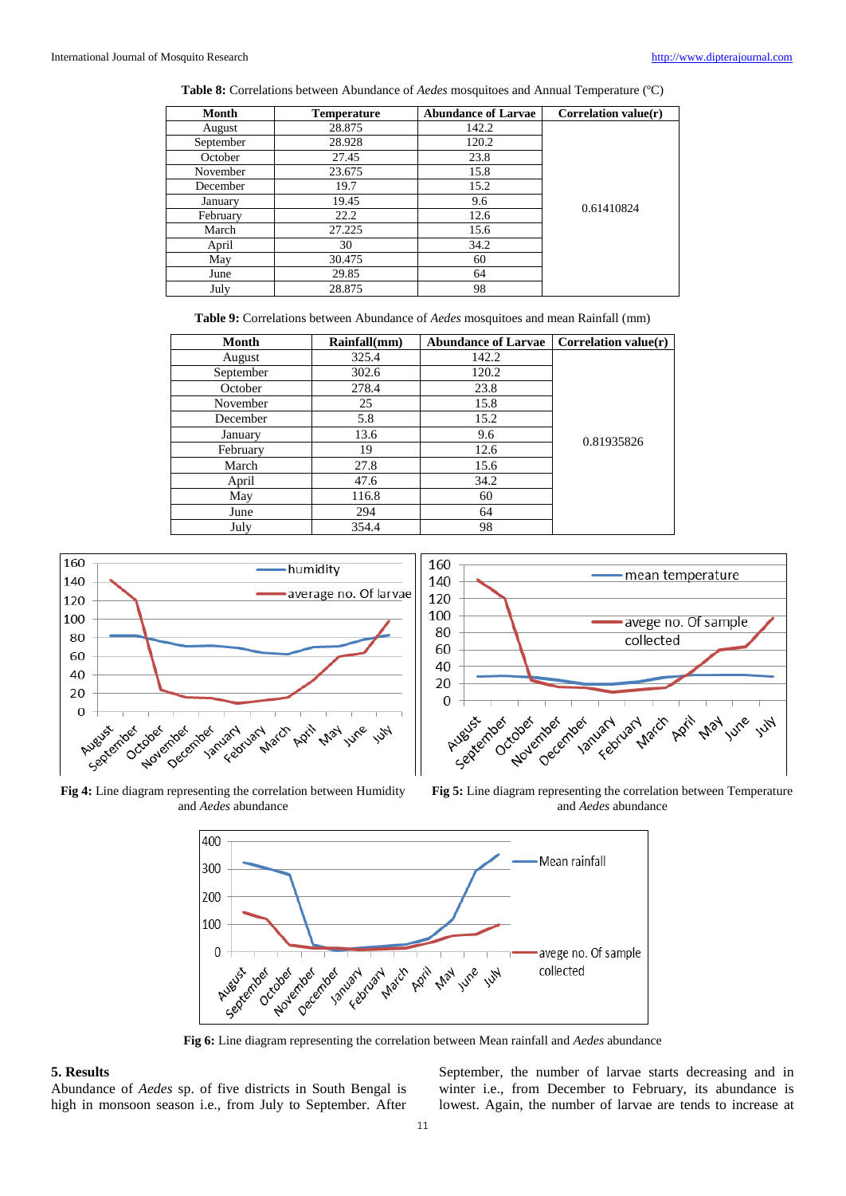**Table 8:** Correlations between Abundance of *Aedes* mosquitoes and Annual Temperature (ºC)

| Month     | <b>Temperature</b> | <b>Abundance of Larvae</b> | Correlation value $(r)$ |
|-----------|--------------------|----------------------------|-------------------------|
| August    | 28.875             | 142.2                      |                         |
| September | 28.928             | 120.2                      |                         |
| October   | 27.45              | 23.8                       |                         |
| November  | 23.675             | 15.8                       |                         |
| December  | 19.7               | 15.2                       |                         |
| January   | 19.45              | 9.6                        | 0.61410824              |
| February  | 22.2               | 12.6                       |                         |
| March     | 27.225             | 15.6                       |                         |
| April     | 30                 | 34.2                       |                         |
| May       | 30.475             | 60                         |                         |
| June      | 29.85              | 64                         |                         |
| July      | 28.875             | 98                         |                         |

**Table 9:** Correlations between Abundance of *Aedes* mosquitoes and mean Rainfall (mm)

| Month     | Rainfall(mm) | <b>Abundance of Larvae</b> | Correlation value $(r)$ |
|-----------|--------------|----------------------------|-------------------------|
| August    | 325.4        | 142.2                      | 0.81935826              |
| September | 302.6        | 120.2                      |                         |
| October   | 278.4        | 23.8                       |                         |
| November  | 25           | 15.8                       |                         |
| December  | 5.8          | 15.2                       |                         |
| January   | 13.6         | 9.6                        |                         |
| February  | 19           | 12.6                       |                         |
| March     | 27.8         | 15.6                       |                         |
| April     | 47.6         | 34.2                       |                         |
| May       | 116.8        | 60                         |                         |
| June      | 294          | 64                         |                         |
| July      | 354.4        | 98                         |                         |





**Fig 4:** Line diagram representing the correlation between Humidity and *Aedes* abundance

**Fig 5:** Line diagram representing the correlation between Temperature and *Aedes* abundance



**Fig 6:** Line diagram representing the correlation between Mean rainfall and *Aedes* abundance

### **5. Results**

Abundance of *Aedes* sp. of five districts in South Bengal is high in monsoon season i.e., from July to September. After

September, the number of larvae starts decreasing and in winter i.e., from December to February, its abundance is lowest. Again, the number of larvae are tends to increase at